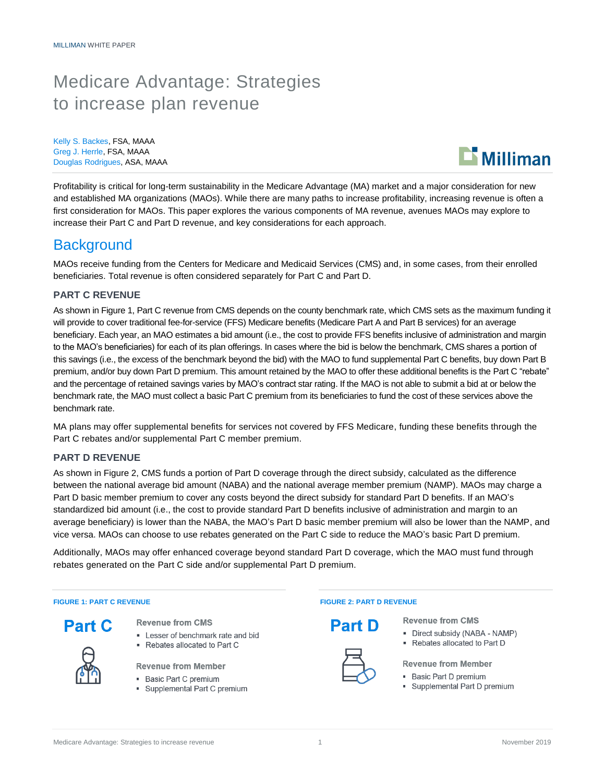# Medicare Advantage: Strategies to increase plan revenue

Kelly S. Backes, FSA, MAAA Greg J. Herrle, FSA, MAAA Douglas Rodrigues, ASA, MAAA



Profitability is critical for long-term sustainability in the Medicare Advantage (MA) market and a major consideration for new and established MA organizations (MAOs). While there are many paths to increase profitability, increasing revenue is often a first consideration for MAOs. This paper explores the various components of MA revenue, avenues MAOs may explore to increase their Part C and Part D revenue, and key considerations for each approach.

### **Background**

MAOs receive funding from the Centers for Medicare and Medicaid Services (CMS) and, in some cases, from their enrolled beneficiaries. Total revenue is often considered separately for Part C and Part D.

#### **PART C REVENUE**

As shown in Figure 1, Part C revenue from CMS depends on the county benchmark rate, which CMS sets as the maximum funding it will provide to cover traditional fee-for-service (FFS) Medicare benefits (Medicare Part A and Part B services) for an average beneficiary. Each year, an MAO estimates a bid amount (i.e., the cost to provide FFS benefits inclusive of administration and margin to the MAO's beneficiaries) for each of its plan offerings. In cases where the bid is below the benchmark, CMS shares a portion of this savings (i.e., the excess of the benchmark beyond the bid) with the MAO to fund supplemental Part C benefits, buy down Part B premium, and/or buy down Part D premium. This amount retained by the MAO to offer these additional benefits is the Part C "rebate" and the percentage of retained savings varies by MAO's contract star rating. If the MAO is not able to submit a bid at or below the benchmark rate, the MAO must collect a basic Part C premium from its beneficiaries to fund the cost of these services above the benchmark rate.

MA plans may offer supplemental benefits for services not covered by FFS Medicare, funding these benefits through the Part C rebates and/or supplemental Part C member premium.

#### **PART D REVENUE**

As shown in Figure 2, CMS funds a portion of Part D coverage through the direct subsidy, calculated as the difference between the national average bid amount (NABA) and the national average member premium (NAMP). MAOs may charge a Part D basic member premium to cover any costs beyond the direct subsidy for standard Part D benefits. If an MAO's standardized bid amount (i.e., the cost to provide standard Part D benefits inclusive of administration and margin to an average beneficiary) is lower than the NABA, the MAO's Part D basic member premium will also be lower than the NAMP, and vice versa. MAOs can choose to use rebates generated on the Part C side to reduce the MAO's basic Part D premium.

Additionally, MAOs may offer enhanced coverage beyond standard Part D coverage, which the MAO must fund through rebates generated on the Part C side and/or supplemental Part D premium.

- Part C
	-
- **Revenue from CMS**
- Lesser of benchmark rate and bid
- Rebates allocated to Part C
- **Revenue from Member**
- Basic Part C premium
- Supplemental Part C premium

#### **FIGURE 1: PART C REVENUE FIGURE 2: PART D REVENUE**



**Revenue from CMS** 

- Direct subsidy (NABA NAMP)
- Rebates allocated to Part D

#### **Revenue from Member**

- Basic Part D premium
- Supplemental Part D premium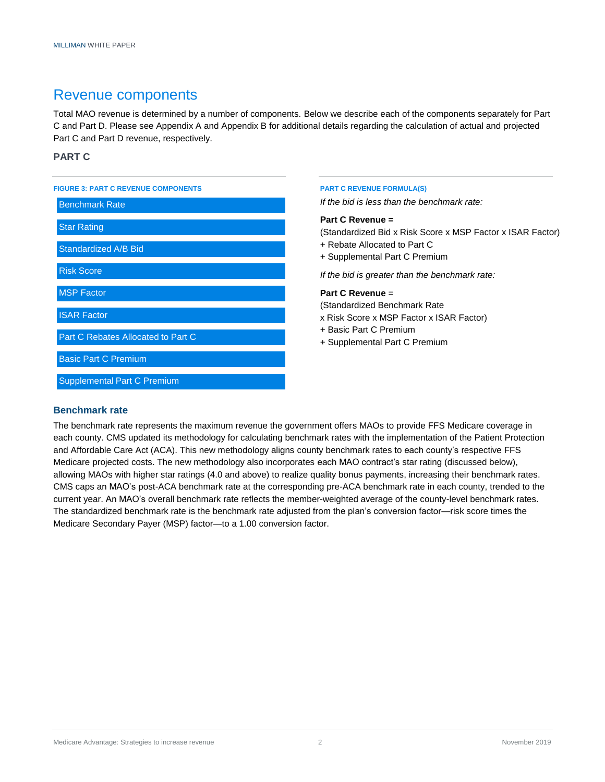### Revenue components

Total MAO revenue is determined by a number of components. Below we describe each of the components separately for Part C and Part D. Please see Appendix A and Appendix B for additional details regarding the calculation of actual and projected Part C and Part D revenue, respectively.

#### **PART C**

| <b>FIGURE 3: PART C REVENUE COMPONENTS</b><br><b>Benchmark Rate</b> | <b>PART C REVENUE FORMULA(S)</b><br>If the bid is less than the benchmark rate:                                                                 |  |
|---------------------------------------------------------------------|-------------------------------------------------------------------------------------------------------------------------------------------------|--|
| <b>Star Rating</b><br><b>Standardized A/B Bid</b>                   | Part C Revenue =<br>(Standardized Bid x Risk Score x MSP Factor x ISAR Factor)<br>+ Rebate Allocated to Part C<br>+ Supplemental Part C Premium |  |
| <b>Risk Score</b>                                                   | If the bid is greater than the benchmark rate:                                                                                                  |  |
| <b>MSP Factor</b>                                                   | Part C Revenue $=$<br>(Standardized Benchmark Rate)                                                                                             |  |
| <b>ISAR Factor</b><br>Part C Rebates Allocated to Part C            | x Risk Score x MSP Factor x ISAR Factor)<br>+ Basic Part C Premium<br>+ Supplemental Part C Premium                                             |  |
| <b>Basic Part C Premium</b>                                         |                                                                                                                                                 |  |
| <b>Supplemental Part C Premium</b>                                  |                                                                                                                                                 |  |

#### **Benchmark rate**

The benchmark rate represents the maximum revenue the government offers MAOs to provide FFS Medicare coverage in each county. CMS updated its methodology for calculating benchmark rates with the implementation of the Patient Protection and Affordable Care Act (ACA). This new methodology aligns county benchmark rates to each county's respective FFS Medicare projected costs. The new methodology also incorporates each MAO contract's star rating (discussed below), allowing MAOs with higher star ratings (4.0 and above) to realize quality bonus payments, increasing their benchmark rates. CMS caps an MAO's post-ACA benchmark rate at the corresponding pre-ACA benchmark rate in each county, trended to the current year. An MAO's overall benchmark rate reflects the member-weighted average of the county-level benchmark rates. The standardized benchmark rate is the benchmark rate adjusted from the plan's conversion factor—risk score times the Medicare Secondary Payer (MSP) factor—to a 1.00 conversion factor.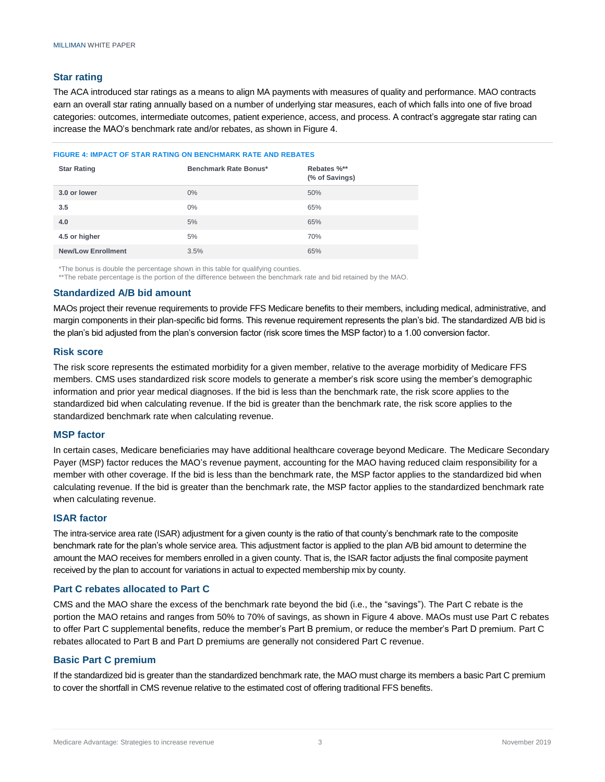#### **Star rating**

The ACA introduced star ratings as a means to align MA payments with measures of quality and performance. MAO contracts earn an overall star rating annually based on a number of underlying star measures, each of which falls into one of five broad categories: outcomes, intermediate outcomes, patient experience, access, and process. A contract's aggregate star rating can increase the MAO's benchmark rate and/or rebates, as shown in Figure 4.

#### **FIGURE 4: IMPACT OF STAR RATING ON BENCHMARK RATE AND REBATES**

| <b>Star Rating</b>        | Benchmark Rate Bonus* | Rebates %**<br>(% of Savings) |
|---------------------------|-----------------------|-------------------------------|
| 3.0 or lower              | $0\%$                 | 50%                           |
| 3.5                       | $0\%$                 | 65%                           |
| 4.0                       | 5%                    | 65%                           |
| 4.5 or higher             | 5%                    | 70%                           |
| <b>New/Low Enrollment</b> | 3.5%                  | 65%                           |

\*The bonus is double the percentage shown in this table for qualifying counties.

\*\*The rebate percentage is the portion of the difference between the benchmark rate and bid retained by the MAO.

#### **Standardized A/B bid amount**

MAOs project their revenue requirements to provide FFS Medicare benefits to their members, including medical, administrative, and margin components in their plan-specific bid forms. This revenue requirement represents the plan's bid. The standardized A/B bid is the plan's bid adjusted from the plan's conversion factor (risk score times the MSP factor) to a 1.00 conversion factor.

#### **Risk score**

The risk score represents the estimated morbidity for a given member, relative to the average morbidity of Medicare FFS members. CMS uses standardized risk score models to generate a member's risk score using the member's demographic information and prior year medical diagnoses. If the bid is less than the benchmark rate, the risk score applies to the standardized bid when calculating revenue. If the bid is greater than the benchmark rate, the risk score applies to the standardized benchmark rate when calculating revenue.

#### **MSP factor**

In certain cases, Medicare beneficiaries may have additional healthcare coverage beyond Medicare. The Medicare Secondary Payer (MSP) factor reduces the MAO's revenue payment, accounting for the MAO having reduced claim responsibility for a member with other coverage. If the bid is less than the benchmark rate, the MSP factor applies to the standardized bid when calculating revenue. If the bid is greater than the benchmark rate, the MSP factor applies to the standardized benchmark rate when calculating revenue.

#### **ISAR factor**

The intra-service area rate (ISAR) adjustment for a given county is the ratio of that county's benchmark rate to the composite benchmark rate for the plan's whole service area. This adjustment factor is applied to the plan A/B bid amount to determine the amount the MAO receives for members enrolled in a given county. That is, the ISAR factor adjusts the final composite payment received by the plan to account for variations in actual to expected membership mix by county.

#### **Part C rebates allocated to Part C**

CMS and the MAO share the excess of the benchmark rate beyond the bid (i.e., the "savings"). The Part C rebate is the portion the MAO retains and ranges from 50% to 70% of savings, as shown in Figure 4 above. MAOs must use Part C rebates to offer Part C supplemental benefits, reduce the member's Part B premium, or reduce the member's Part D premium. Part C rebates allocated to Part B and Part D premiums are generally not considered Part C revenue.

#### **Basic Part C premium**

If the standardized bid is greater than the standardized benchmark rate, the MAO must charge its members a basic Part C premium to cover the shortfall in CMS revenue relative to the estimated cost of offering traditional FFS benefits.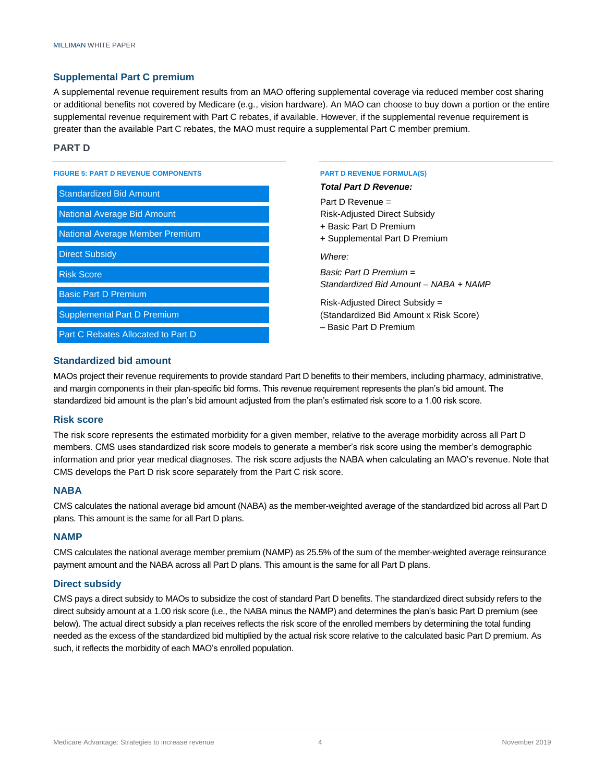#### **Supplemental Part C premium**

A supplemental revenue requirement results from an MAO offering supplemental coverage via reduced member cost sharing or additional benefits not covered by Medicare (e.g., vision hardware). An MAO can choose to buy down a portion or the entire supplemental revenue requirement with Part C rebates, if available. However, if the supplemental revenue requirement is greater than the available Part C rebates, the MAO must require a supplemental Part C member premium.

#### **PART D**

| <b>FIGURE 5: PART D REVENUE COMPONENTS</b> |  |  |
|--------------------------------------------|--|--|
| <b>Standardized Bid Amount</b>             |  |  |
| <b>National Average Bid Amount</b>         |  |  |
| National Average Member Premium            |  |  |
| <b>Direct Subsidy</b>                      |  |  |
| <b>Risk Score</b>                          |  |  |
| <b>Basic Part D Premium</b>                |  |  |
| <b>Supplemental Part D Premium</b>         |  |  |
| Part C Rebates Allocated to Part D         |  |  |

#### **FART D REVENUE FORMULA(S)**

*Total Part D Revenue:*

Part D Revenue = Risk-Adjusted Direct Subsidy + Basic Part D Premium + Supplemental Part D Premium *Where: Basic Part D Premium = Standardized Bid Amount – NABA + NAMP*

Risk-Adjusted Direct Subsidy = (Standardized Bid Amount x Risk Score) – Basic Part D Premium

#### **Standardized bid amount**

MAOs project their revenue requirements to provide standard Part D benefits to their members, including pharmacy, administrative, and margin components in their plan-specific bid forms. This revenue requirement represents the plan's bid amount. The standardized bid amount is the plan's bid amount adjusted from the plan's estimated risk score to a 1.00 risk score.

#### **Risk score**

The risk score represents the estimated morbidity for a given member, relative to the average morbidity across all Part D members. CMS uses standardized risk score models to generate a member's risk score using the member's demographic information and prior year medical diagnoses. The risk score adjusts the NABA when calculating an MAO's revenue. Note that CMS develops the Part D risk score separately from the Part C risk score.

#### **NABA**

CMS calculates the national average bid amount (NABA) as the member-weighted average of the standardized bid across all Part D plans. This amount is the same for all Part D plans.

#### **NAMP**

CMS calculates the national average member premium (NAMP) as 25.5% of the sum of the member-weighted average reinsurance payment amount and the NABA across all Part D plans. This amount is the same for all Part D plans.

#### **Direct subsidy**

CMS pays a direct subsidy to MAOs to subsidize the cost of standard Part D benefits. The standardized direct subsidy refers to the direct subsidy amount at a 1.00 risk score (i.e., the NABA minus the NAMP) and determines the plan's basic Part D premium (see below). The actual direct subsidy a plan receives reflects the risk score of the enrolled members by determining the total funding needed as the excess of the standardized bid multiplied by the actual risk score relative to the calculated basic Part D premium. As such, it reflects the morbidity of each MAO's enrolled population.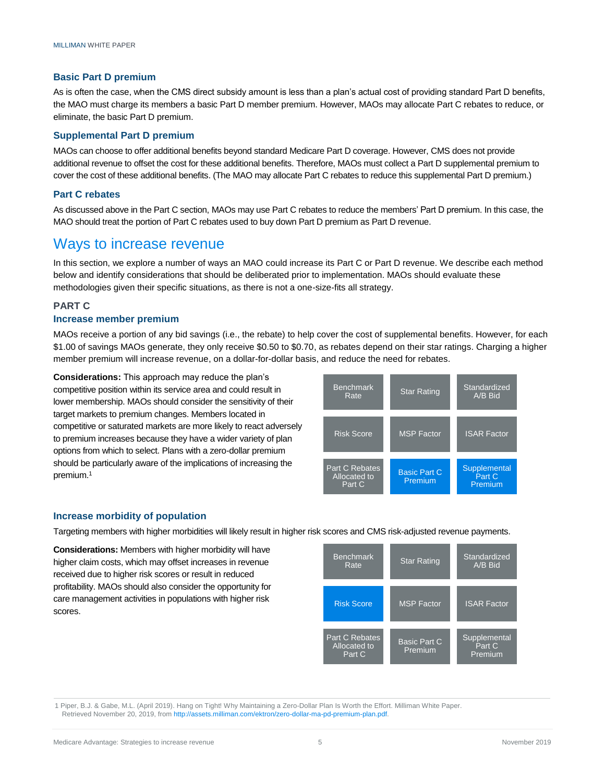#### **Basic Part D premium**

As is often the case, when the CMS direct subsidy amount is less than a plan's actual cost of providing standard Part D benefits, the MAO must charge its members a basic Part D member premium. However, MAOs may allocate Part C rebates to reduce, or eliminate, the basic Part D premium.

#### **Supplemental Part D premium**

MAOs can choose to offer additional benefits beyond standard Medicare Part D coverage. However, CMS does not provide additional revenue to offset the cost for these additional benefits. Therefore, MAOs must collect a Part D supplemental premium to cover the cost of these additional benefits. (The MAO may allocate Part C rebates to reduce this supplemental Part D premium.)

#### **Part C rebates**

As discussed above in the Part C section, MAOs may use Part C rebates to reduce the members' Part D premium. In this case, the MAO should treat the portion of Part C rebates used to buy down Part D premium as Part D revenue.

### Ways to increase revenue

In this section, we explore a number of ways an MAO could increase its Part C or Part D revenue. We describe each method below and identify considerations that should be deliberated prior to implementation. MAOs should evaluate these methodologies given their specific situations, as there is not a one-size-fits all strategy.

#### **PART C**

#### **Increase member premium**

MAOs receive a portion of any bid savings (i.e., the rebate) to help cover the cost of supplemental benefits. However, for each \$1.00 of savings MAOs generate, they only receive \$0.50 to \$0.70, as rebates depend on their star ratings. Charging a higher member premium will increase revenue, on a dollar-for-dollar basis, and reduce the need for rebates.

**Considerations:** This approach may reduce the plan's competitive position within its service area and could result in lower membership. MAOs should consider the sensitivity of their target markets to premium changes. Members located in competitive or saturated markets are more likely to react adversely to premium increases because they have a wider variety of plan options from which to select. Plans with a zero-dollar premium should be particularly aware of the implications of increasing the premium. 1



#### **Increase morbidity of population**

Targeting members with higher morbidities will likely result in higher risk scores and CMS risk-adjusted revenue payments.

**Considerations:** Members with higher morbidity will have higher claim costs, which may offset increases in revenue received due to higher risk scores or result in reduced profitability. MAOs should also consider the opportunity for care management activities in populations with higher risk scores.

| <b>Benchmark</b><br>Rate                        | <b>Star Rating</b>             | Standardized<br>A/B Bid           |
|-------------------------------------------------|--------------------------------|-----------------------------------|
| <b>Risk Score</b>                               | <b>MSP Factor</b>              | <b>ISAR Factor</b>                |
| <b>Part C Rebates</b><br>Allocated to<br>Part C | <b>Basic Part C</b><br>Premium | Supplemental<br>Part C<br>Premium |

1 Piper, B.J. & Gabe, M.L. (April 2019). Hang on Tight! Why Maintaining a Zero-Dollar Plan Is Worth the Effort. Milliman White Paper. Retrieved November 20, 2019, from [http://assets.milliman.com/ektron/zero-dollar-ma-pd-premium-plan.pdf.](http://assets.milliman.com/ektron/zero-dollar-ma-pd-premium-plan.pdf)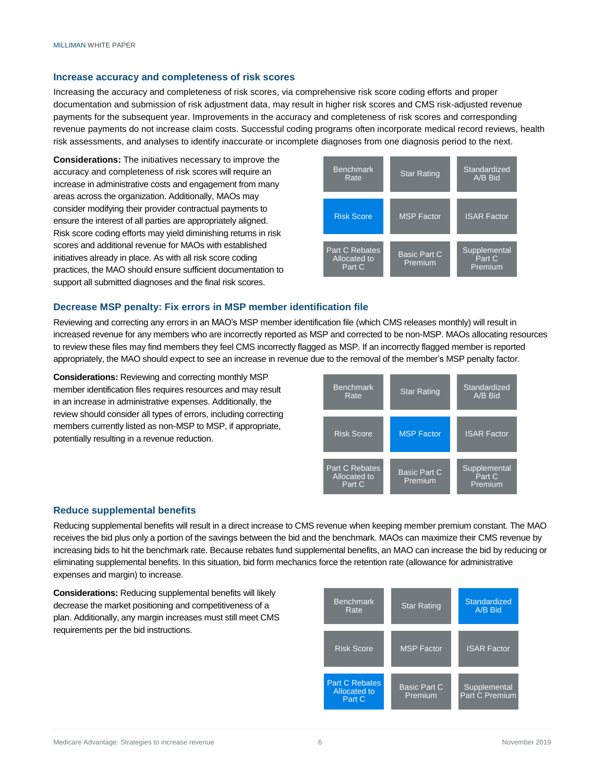#### **Increase accuracy and completeness of risk scores**

Increasing the accuracy and completeness of risk scores, via comprehensive risk score coding efforts and proper documentation and submission of risk adjustment data, may result in higher risk scores and CMS risk-adjusted revenue payments for the subsequent year. Improvements in the accuracy and completeness of risk scores and corresponding revenue payments do not increase claim costs. Successful coding programs often incorporate medical record reviews, health risk assessments, and analyses to identify inaccurate or incomplete diagnoses from one diagnosis period to the next.

**Considerations:** The initiatives necessary to improve the accuracy and completeness of risk scores will require an increase in administrative costs and engagement from many areas across the organization. Additionally, MAOs may consider modifying their provider contractual payments to ensure the interest of all parties are appropriately aligned. Risk score coding efforts may yield diminishing returns in risk scores and additional revenue for MAOs with established initiatives already in place. As with all risk score coding practices, the MAO should ensure sufficient documentation to support all submitted diagnoses and the final risk scores.



#### **Decrease MSP penalty: Fix errors in MSP member identification file**

Reviewing and correcting any errors in an MAO's MSP member identification file (which CMS releases monthly) will result in increased revenue for any members who are incorrectly reported as MSP and corrected to be non-MSP. MAOs allocating resources to review these files may find members they feel CMS incorrectly flagged as MSP. If an incorrectly flagged member is reported appropriately, the MAO should expect to see an increase in revenue due to the removal of the member's MSP penalty factor.

**Considerations:** Reviewing and correcting monthly MSP member identification files requires resources and may result in an increase in administrative expenses. Additionally, the review should consider all types of errors, including correcting members currently listed as non-MSP to MSP, if appropriate, potentially resulting in a revenue reduction.



#### **Reduce supplemental benefits**

Reducing supplemental benefits will result in a direct increase to CMS revenue when keeping member premium constant. The MAO receives the bid plus only a portion of the savings between the bid and the benchmark. MAOs can maximize their CMS revenue by increasing bids to hit the benchmark rate. Because rebates fund supplemental benefits, an MAO can increase the bid by reducing or eliminating supplemental benefits. In this situation, bid form mechanics force the retention rate (allowance for administrative expenses and margin) to increase.

**Considerations:** Reducing supplemental benefits will likely decrease the market positioning and competitiveness of a plan. Additionally, any margin increases must still meet CMS requirements per the bid instructions.

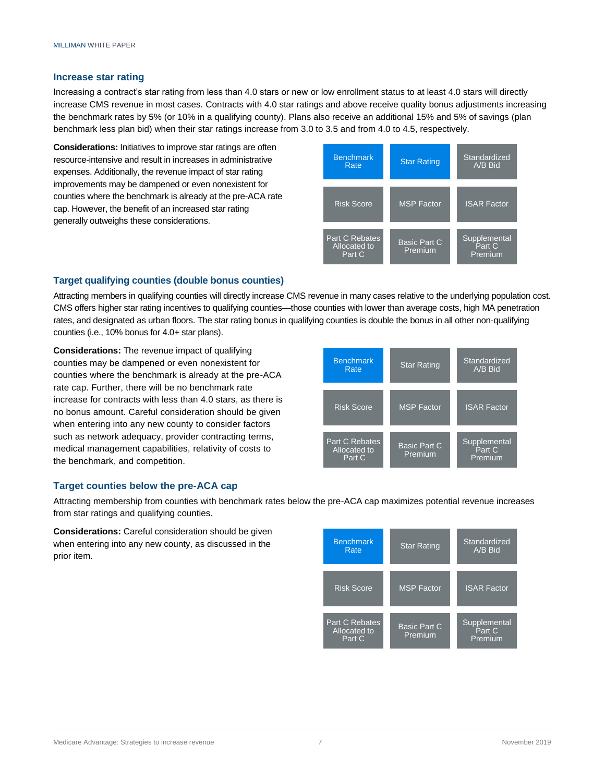#### **Increase star rating**

Increasing a contract's star rating from less than 4.0 stars or new or low enrollment status to at least 4.0 stars will directly increase CMS revenue in most cases. Contracts with 4.0 star ratings and above receive quality bonus adjustments increasing the benchmark rates by 5% (or 10% in a qualifying county). Plans also receive an additional 15% and 5% of savings (plan benchmark less plan bid) when their star ratings increase from 3.0 to 3.5 and from 4.0 to 4.5, respectively.

**Considerations:** Initiatives to improve star ratings are often resource-intensive and result in increases in administrative expenses. Additionally, the revenue impact of star rating improvements may be dampened or even nonexistent for counties where the benchmark is already at the pre-ACA rate cap. However, the benefit of an increased star rating generally outweighs these considerations.



#### **Target qualifying counties (double bonus counties)**

Attracting members in qualifying counties will directly increase CMS revenue in many cases relative to the underlying population cost. CMS offers higher star rating incentives to qualifying counties—those counties with lower than average costs, high MA penetration rates, and designated as urban floors. The star rating bonus in qualifying counties is double the bonus in all other non-qualifying counties (i.e., 10% bonus for 4.0+ star plans).

**Considerations:** The revenue impact of qualifying counties may be dampened or even nonexistent for counties where the benchmark is already at the pre-ACA rate cap. Further, there will be no benchmark rate increase for contracts with less than 4.0 stars, as there is no bonus amount. Careful consideration should be given when entering into any new county to consider factors such as network adequacy, provider contracting terms, medical management capabilities, relativity of costs to the benchmark, and competition.

| <b>Benchmark</b><br>Rate                 | <b>Star Rating</b>             | Standardized<br>A/B Bid           |
|------------------------------------------|--------------------------------|-----------------------------------|
| <b>Risk Score</b>                        | <b>MSP Factor</b>              | <b>ISAR Factor</b>                |
| Part C Rebates<br>Allocated to<br>Part C | <b>Basic Part C</b><br>Premium | Supplemental<br>Part C<br>Premium |

#### **Target counties below the pre-ACA cap**

Attracting membership from counties with benchmark rates below the pre-ACA cap maximizes potential revenue increases from star ratings and qualifying counties.

**Considerations:** Careful consideration should be given when entering into any new county, as discussed in the prior item.

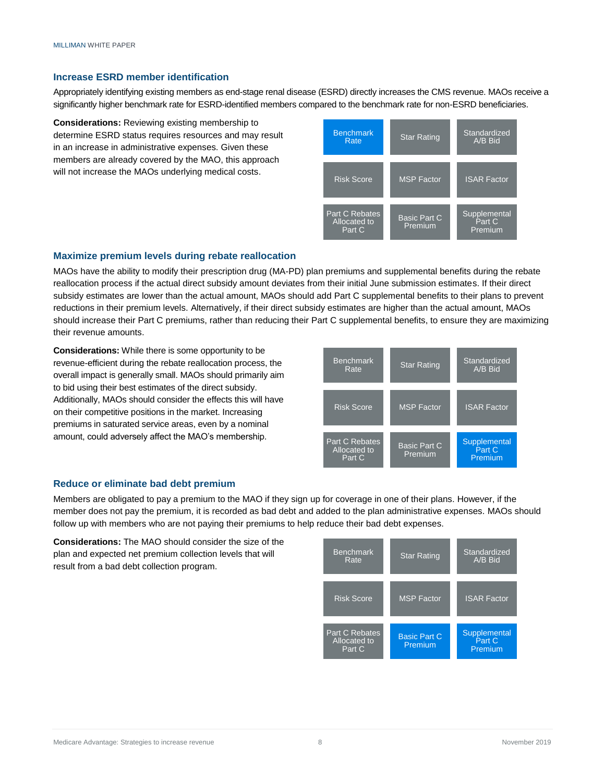#### **Increase ESRD member identification**

Appropriately identifying existing members as end-stage renal disease (ESRD) directly increases the CMS revenue. MAOs receive a significantly higher benchmark rate for ESRD-identified members compared to the benchmark rate for non-ESRD beneficiaries.

**Considerations:** Reviewing existing membership to determine ESRD status requires resources and may result in an increase in administrative expenses. Given these members are already covered by the MAO, this approach will not increase the MAOs underlying medical costs.



#### **Maximize premium levels during rebate reallocation**

MAOs have the ability to modify their prescription drug (MA-PD) plan premiums and supplemental benefits during the rebate reallocation process if the actual direct subsidy amount deviates from their initial June submission estimates. If their direct subsidy estimates are lower than the actual amount, MAOs should add Part C supplemental benefits to their plans to prevent reductions in their premium levels. Alternatively, if their direct subsidy estimates are higher than the actual amount, MAOs should increase their Part C premiums, rather than reducing their Part C supplemental benefits, to ensure they are maximizing their revenue amounts.

**Considerations:** While there is some opportunity to be revenue-efficient during the rebate reallocation process, the overall impact is generally small. MAOs should primarily aim to bid using their best estimates of the direct subsidy. Additionally, MAOs should consider the effects this will have on their competitive positions in the market. Increasing premiums in saturated service areas, even by a nominal amount, could adversely affect the MAO's membership.



#### **Reduce or eliminate bad debt premium**

Members are obligated to pay a premium to the MAO if they sign up for coverage in one of their plans. However, if the member does not pay the premium, it is recorded as bad debt and added to the plan administrative expenses. MAOs should follow up with members who are not paying their premiums to help reduce their bad debt expenses.

**Considerations:** The MAO should consider the size of the plan and expected net premium collection levels that will result from a bad debt collection program.

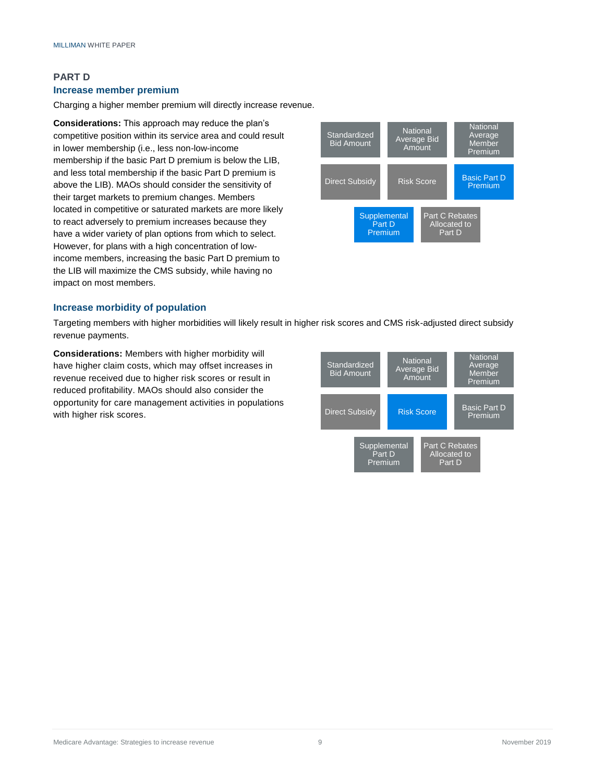### **PART D Increase member premium**

Charging a higher member premium will directly increase revenue.

**Considerations:** This approach may reduce the plan's competitive position within its service area and could result in lower membership (i.e., less non-low-income membership if the basic Part D premium is below the LIB, and less total membership if the basic Part D premium is above the LIB). MAOs should consider the sensitivity of their target markets to premium changes. Members located in competitive or saturated markets are more likely to react adversely to premium increases because they have a wider variety of plan options from which to select. However, for plans with a high concentration of lowincome members, increasing the basic Part D premium to the LIB will maximize the CMS subsidy, while having no impact on most members.



#### **Increase morbidity of population**

Targeting members with higher morbidities will likely result in higher risk scores and CMS risk-adjusted direct subsidy revenue payments.

**Considerations:** Members with higher morbidity will have higher claim costs, which may offset increases in revenue received due to higher risk scores or result in reduced profitability. MAOs should also consider the opportunity for care management activities in populations with higher risk scores.

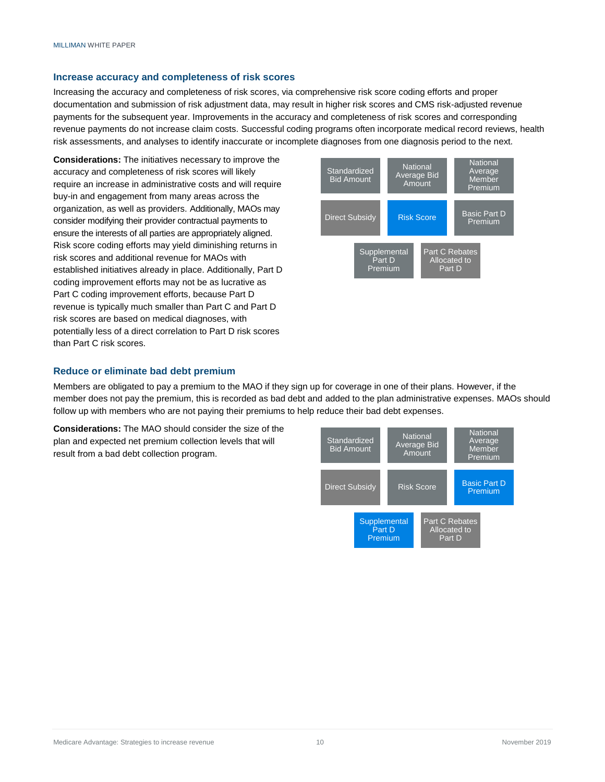#### **Increase accuracy and completeness of risk scores**

Increasing the accuracy and completeness of risk scores, via comprehensive risk score coding efforts and proper documentation and submission of risk adjustment data, may result in higher risk scores and CMS risk-adjusted revenue payments for the subsequent year. Improvements in the accuracy and completeness of risk scores and corresponding revenue payments do not increase claim costs. Successful coding programs often incorporate medical record reviews, health risk assessments, and analyses to identify inaccurate or incomplete diagnoses from one diagnosis period to the next.

**Considerations:** The initiatives necessary to improve the accuracy and completeness of risk scores will likely require an increase in administrative costs and will require buy-in and engagement from many areas across the organization, as well as providers. Additionally, MAOs may consider modifying their provider contractual payments to ensure the interests of all parties are appropriately aligned. Risk score coding efforts may yield diminishing returns in risk scores and additional revenue for MAOs with established initiatives already in place. Additionally, Part D coding improvement efforts may not be as lucrative as Part C coding improvement efforts, because Part D revenue is typically much smaller than Part C and Part D risk scores are based on medical diagnoses, with potentially less of a direct correlation to Part D risk scores than Part C risk scores.



#### **Reduce or eliminate bad debt premium**

Members are obligated to pay a premium to the MAO if they sign up for coverage in one of their plans. However, if the member does not pay the premium, this is recorded as bad debt and added to the plan administrative expenses. MAOs should follow up with members who are not paying their premiums to help reduce their bad debt expenses.

**Considerations:** The MAO should consider the size of the plan and expected net premium collection levels that will result from a bad debt collection program.

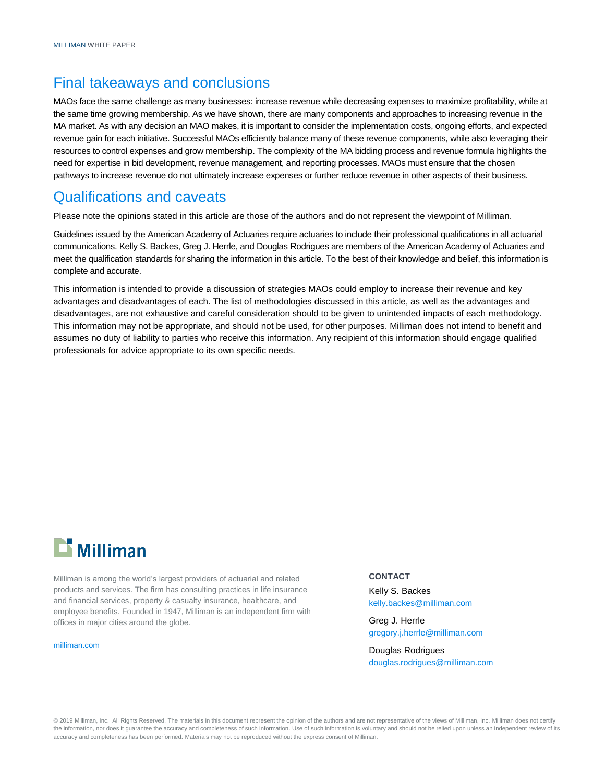### Final takeaways and conclusions

MAOs face the same challenge as many businesses: increase revenue while decreasing expenses to maximize profitability, while at the same time growing membership. As we have shown, there are many components and approaches to increasing revenue in the MA market. As with any decision an MAO makes, it is important to consider the implementation costs, ongoing efforts, and expected revenue gain for each initiative. Successful MAOs efficiently balance many of these revenue components, while also leveraging their resources to control expenses and grow membership. The complexity of the MA bidding process and revenue formula highlights the need for expertise in bid development, revenue management, and reporting processes. MAOs must ensure that the chosen pathways to increase revenue do not ultimately increase expenses or further reduce revenue in other aspects of their business.

### Qualifications and caveats

Please note the opinions stated in this article are those of the authors and do not represent the viewpoint of Milliman.

Guidelines issued by the American Academy of Actuaries require actuaries to include their professional qualifications in all actuarial communications. Kelly S. Backes, Greg J. Herrle, and Douglas Rodrigues are members of the American Academy of Actuaries and meet the qualification standards for sharing the information in this article. To the best of their knowledge and belief, this information is complete and accurate.

This information is intended to provide a discussion of strategies MAOs could employ to increase their revenue and key advantages and disadvantages of each. The list of methodologies discussed in this article, as well as the advantages and disadvantages, are not exhaustive and careful consideration should to be given to unintended impacts of each methodology. This information may not be appropriate, and should not be used, for other purposes. Milliman does not intend to benefit and assumes no duty of liability to parties who receive this information. Any recipient of this information should engage qualified professionals for advice appropriate to its own specific needs.

# **Li** Milliman

Milliman is among the world's largest providers of actuarial and related products and services. The firm has consulting practices in life insurance and financial services, property & casualty insurance, healthcare, and employee benefits. Founded in 1947, Milliman is an independent firm with offices in major cities around the globe.

[milliman.com](http://www.milliman.com/)

#### **CONTACT**

Kelly S. Backes [kelly.backes@milliman.com](mailto:kelly.backes@milliman.com)

Greg J. Herrle [gregory.j.herrle@milliman.com](mailto:greg.herrle@milliman.com)

Douglas Rodrigues [douglas.rodrigues@milliman.com](mailto:douglas.rodrigues@milliman.com)

© 2019 Milliman, Inc. All Rights Reserved. The materials in this document represent the opinion of the authors and are not representative of the views of Milliman, Inc. Milliman does not certify the information, nor does it guarantee the accuracy and completeness of such information. Use of such information is voluntary and should not be relied upon unless an independent review of its accuracy and completeness has been performed. Materials may not be reproduced without the express consent of Milliman.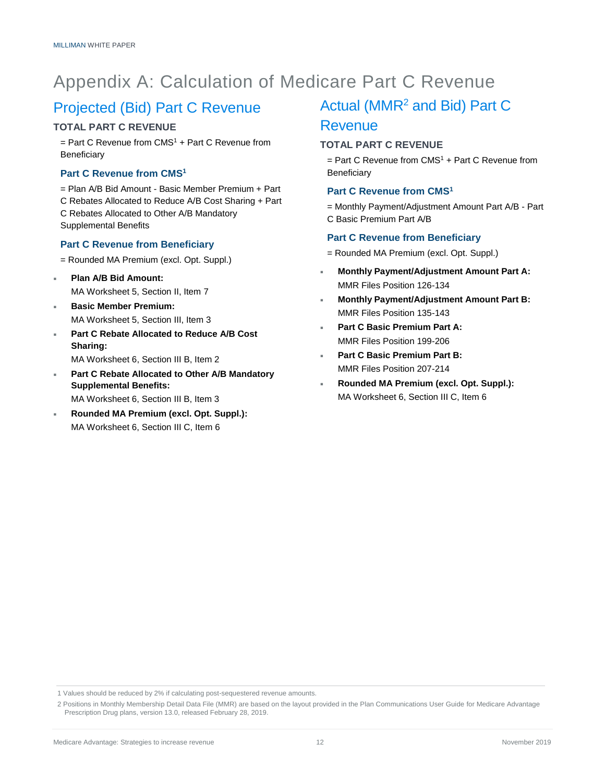# Appendix A: Calculation of Medicare Part C Revenue

### Projected (Bid) Part C Revenue

#### **TOTAL PART C REVENUE**

 $=$  Part C Revenue from CMS<sup>1</sup> + Part C Revenue from **Beneficiary** 

#### **Part C Revenue from CMS<sup>1</sup>**

= Plan A/B Bid Amount - Basic Member Premium + Part C Rebates Allocated to Reduce A/B Cost Sharing + Part C Rebates Allocated to Other A/B Mandatory Supplemental Benefits

#### **Part C Revenue from Beneficiary**

- = Rounded MA Premium (excl. Opt. Suppl.)
- **Plan A/B Bid Amount:**  MA Worksheet 5, Section II, Item 7
- **Basic Member Premium:** MA Worksheet 5, Section III, Item 3
- **Part C Rebate Allocated to Reduce A/B Cost Sharing:** MA Worksheet 6, Section III B, Item 2
- **Part C Rebate Allocated to Other A/B Mandatory Supplemental Benefits:**

MA Worksheet 6, Section III B, Item 3

 **Rounded MA Premium (excl. Opt. Suppl.):** MA Worksheet 6, Section III C, Item 6

### Actual (MMR<sup>2</sup> and Bid) Part C Revenue

#### **TOTAL PART C REVENUE**

 $=$  Part C Revenue from CMS<sup>1</sup> + Part C Revenue from **Beneficiary** 

#### **Part C Revenue from CMS<sup>1</sup>**

= Monthly Payment/Adjustment Amount Part A/B - Part C Basic Premium Part A/B

#### **Part C Revenue from Beneficiary**

- = Rounded MA Premium (excl. Opt. Suppl.)
- **Monthly Payment/Adjustment Amount Part A:**  MMR Files Position 126-134
- **Monthly Payment/Adjustment Amount Part B:**  MMR Files Position 135-143
- **Part C Basic Premium Part A:**  MMR Files Position 199-206
- **Part C Basic Premium Part B:**  MMR Files Position 207-214
- **Rounded MA Premium (excl. Opt. Suppl.):** MA Worksheet 6, Section III C, Item 6

<sup>1</sup> Values should be reduced by 2% if calculating post-sequestered revenue amounts.

<sup>2</sup> Positions in Monthly Membership Detail Data File (MMR) are based on the layout provided in the Plan Communications User Guide for Medicare Advantage Prescription Drug plans, version 13.0, released February 28, 2019.